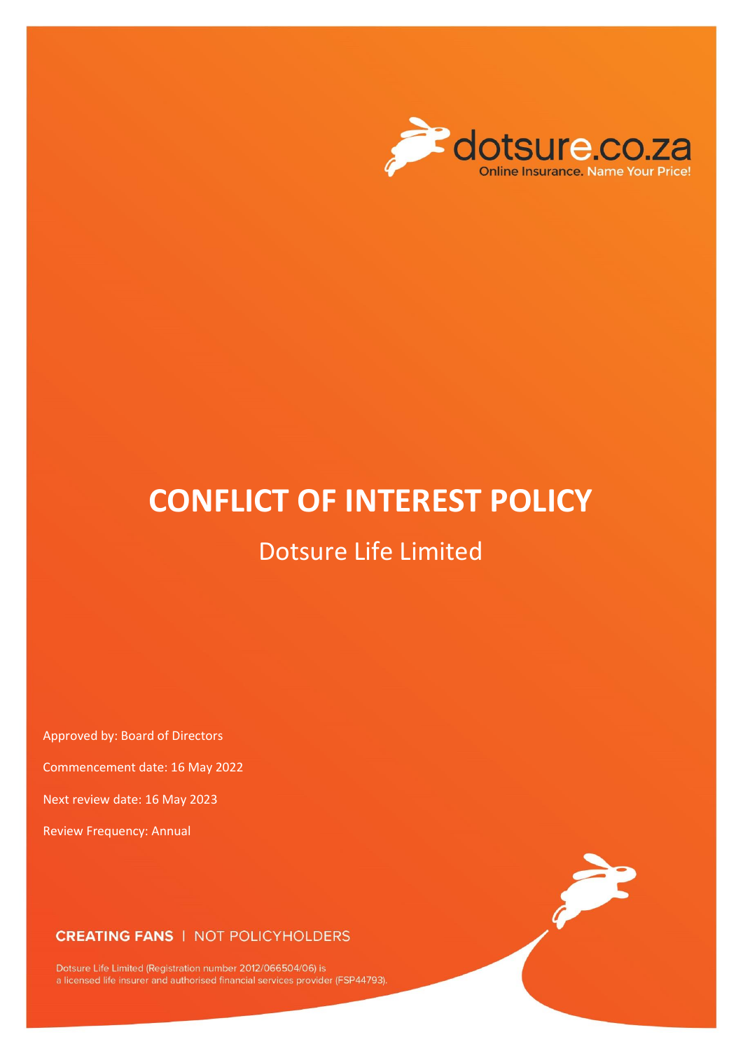

# **CONFLICT OF INTEREST POLICY**

# Dotsure Life Limited

Approved by: Board of Directors

Commencement date: 16 May 2022

Next review date: 16 May 2023

Review Frequency: Annual

### **CREATING FANS | NOT POLICYHOLDERS**

Dotsure Life Limited (Registration number 2012/066504/06) is<br>a licensed life insurer and authorised financial services provider (FSP44793).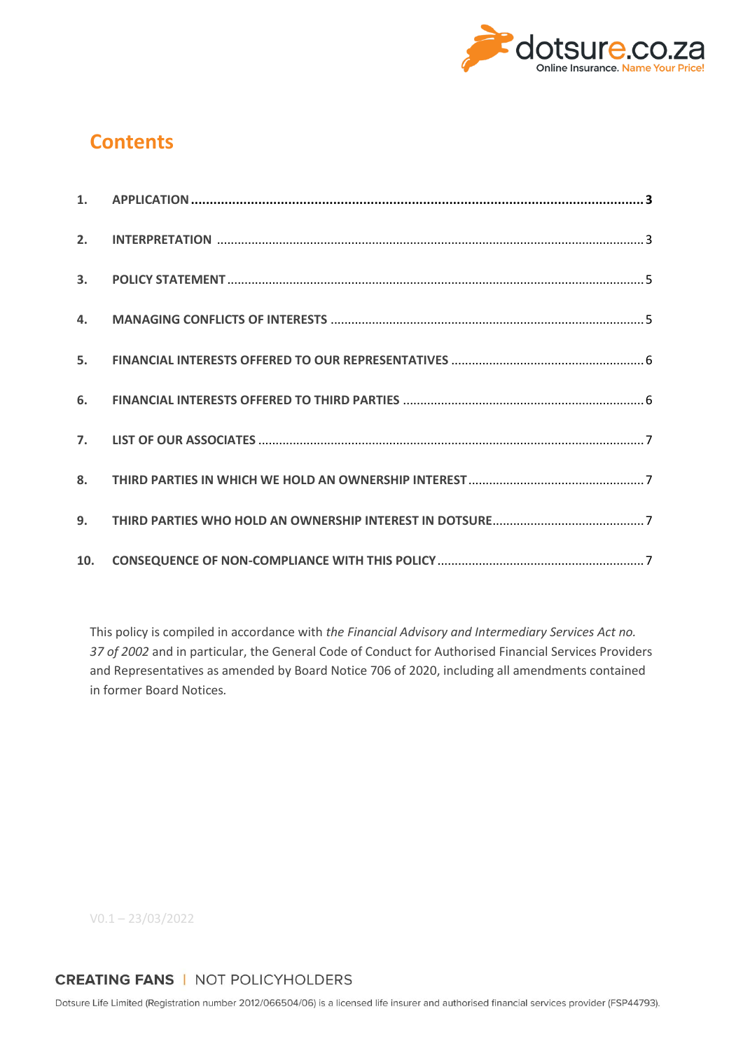

# **Contents**

This policy is compiled in accordance with *the Financial Advisory and Intermediary Services Act no. 37 of 2002* and in particular, the General Code of Conduct for Authorised Financial Services Providers and Representatives as amended by Board Notice 706 of 2020, including all amendments contained in former Board Notices*.*

V0.1 – 23/03/2022

# **CREATING FANS | NOT POLICYHOLDERS**

Dotsure Life Limited (Registration number 2012/066504/06) is a licensed life insurer and authorised financial services provider (FSP44793).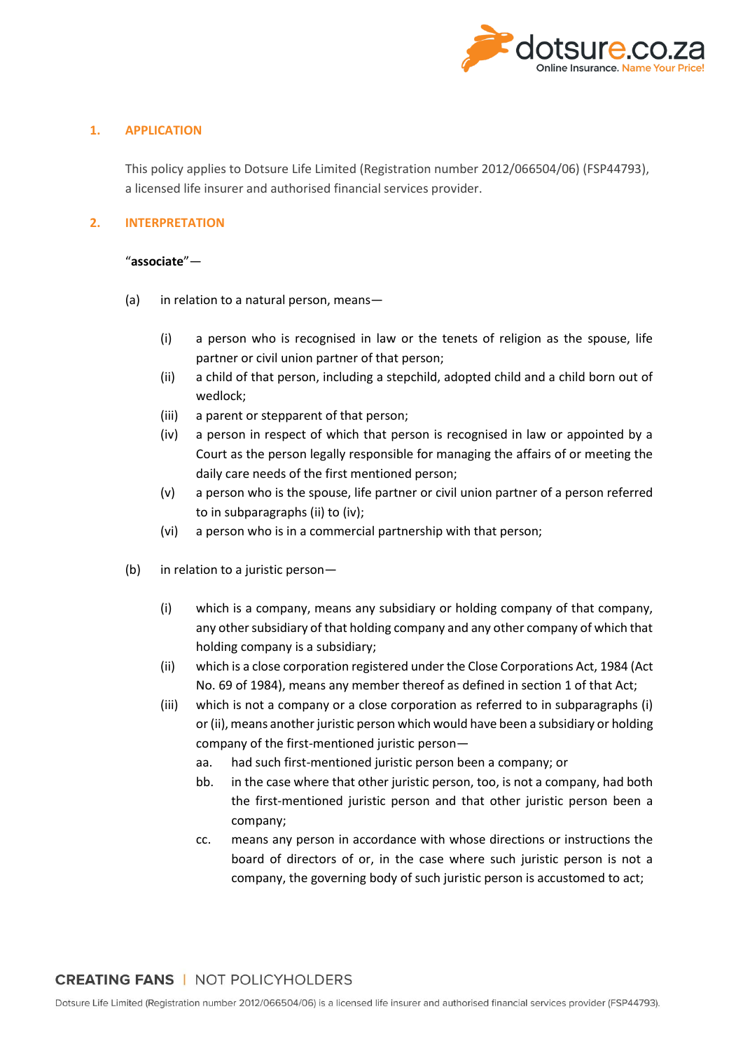

#### <span id="page-2-0"></span>**1. APPLICATION**

This policy applies to Dotsure Life Limited (Registration number 2012/066504/06) (FSP44793), a licensed life insurer and authorised financial services provider.

#### <span id="page-2-1"></span>**2. INTERPRETATION**

#### "**associate**"—

- (a) in relation to a natural person, means—
	- (i) a person who is recognised in law or the tenets of religion as the spouse, life partner or civil union partner of that person;
	- (ii) a child of that person, including a stepchild, adopted child and a child born out of wedlock;
	- (iii) a parent or stepparent of that person;
	- (iv) a person in respect of which that person is recognised in law or appointed by a Court as the person legally responsible for managing the affairs of or meeting the daily care needs of the first mentioned person;
	- (v) a person who is the spouse, life partner or civil union partner of a person referred to in subparagraphs (ii) to (iv);
	- (vi) a person who is in a commercial partnership with that person;
- (b) in relation to a juristic person—
	- (i) which is a company, means any subsidiary or holding company of that company, any other subsidiary of that holding company and any other company of which that holding company is a subsidiary;
	- (ii) which is a close corporation registered under the Close Corporations Act, 1984 (Act No. 69 of 1984), means any member thereof as defined in section 1 of that Act;
	- (iii) which is not a company or a close corporation as referred to in subparagraphs (i) or (ii), means another juristic person which would have been a subsidiary or holding company of the first-mentioned juristic person
		- aa. had such first-mentioned juristic person been a company; or
		- bb. in the case where that other juristic person, too, is not a company, had both the first-mentioned juristic person and that other juristic person been a company;
		- cc. means any person in accordance with whose directions or instructions the board of directors of or, in the case where such juristic person is not a company, the governing body of such juristic person is accustomed to act;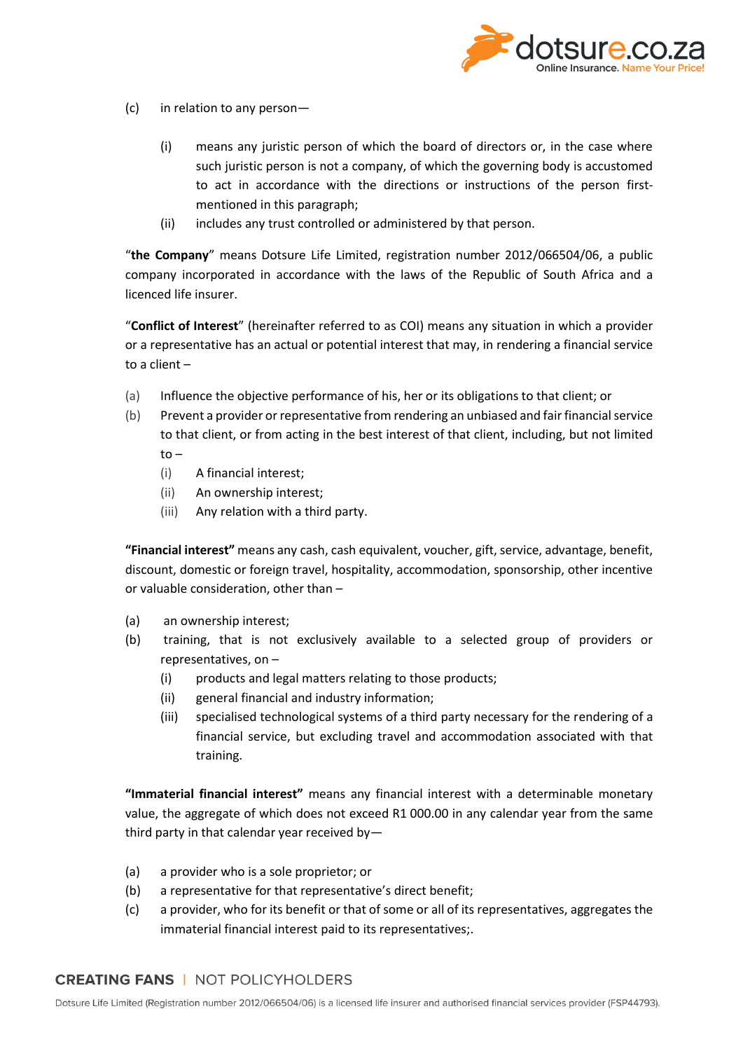

- (c) in relation to any person—
	- (i) means any juristic person of which the board of directors or, in the case where such juristic person is not a company, of which the governing body is accustomed to act in accordance with the directions or instructions of the person firstmentioned in this paragraph;
	- (ii) includes any trust controlled or administered by that person.

"**the Company**" means Dotsure Life Limited, registration number 2012/066504/06, a public company incorporated in accordance with the laws of the Republic of South Africa and a licenced life insurer.

"**Conflict of Interest**" (hereinafter referred to as COI) means any situation in which a provider or a representative has an actual or potential interest that may, in rendering a financial service to a client –

- (a) Influence the objective performance of his, her or its obligations to that client; or
- (b) Prevent a provider or representative from rendering an unbiased and fair financial service to that client, or from acting in the best interest of that client, including, but not limited to –
	- (i) A financial interest;
	- (ii) An ownership interest;
	- (iii) Any relation with a third party.

**"Financial interest"** means any cash, cash equivalent, voucher, gift, service, advantage, benefit, discount, domestic or foreign travel, hospitality, accommodation, sponsorship, other incentive or valuable consideration, other than –

- (a) an ownership interest;
- (b) training, that is not exclusively available to a selected group of providers or representatives, on –
	- (i) products and legal matters relating to those products;
	- (ii) general financial and industry information;
	- (iii) specialised technological systems of a third party necessary for the rendering of a financial service, but excluding travel and accommodation associated with that training.

**"Immaterial financial interest"** means any financial interest with a determinable monetary value, the aggregate of which does not exceed R1 000.00 in any calendar year from the same third party in that calendar year received by—

- (a) a provider who is a sole proprietor; or
- (b) a representative for that representative's direct benefit;
- (c) a provider, who for its benefit or that of some or all of its representatives, aggregates the immaterial financial interest paid to its representatives;.

#### **CREATING FANS | NOT POLICYHOLDERS**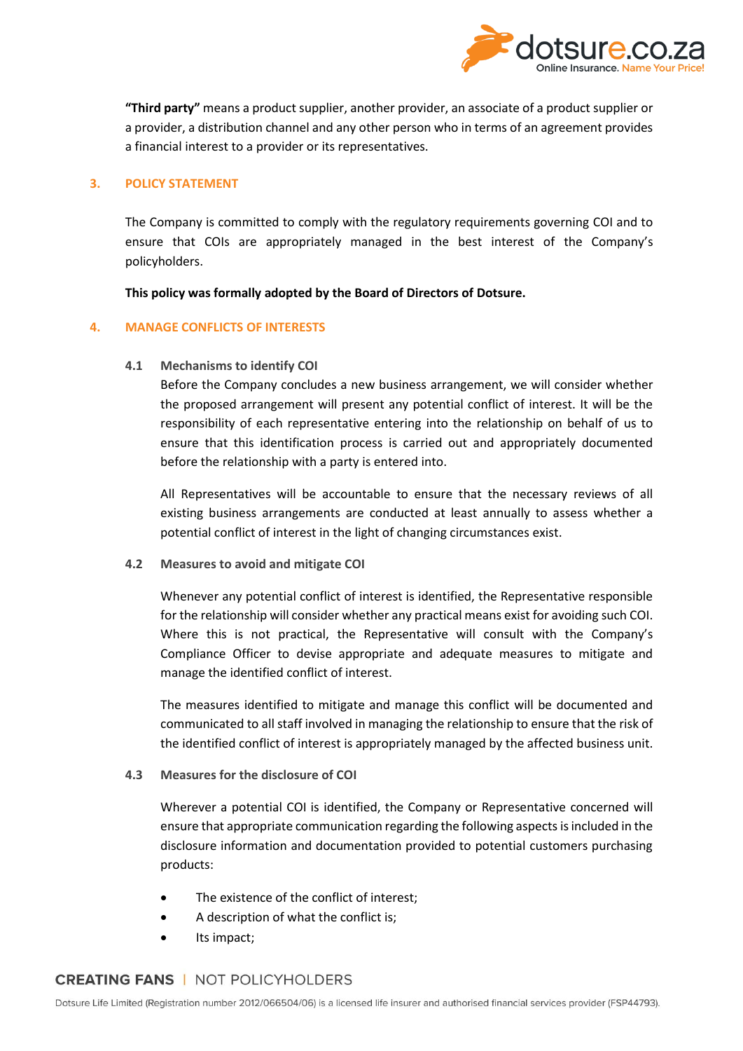

**"Third party"** means a product supplier, another provider, an associate of a product supplier or a provider, a distribution channel and any other person who in terms of an agreement provides a financial interest to a provider or its representatives.

#### <span id="page-4-0"></span>**3. POLICY STATEMENT**

The Company is committed to comply with the regulatory requirements governing COI and to ensure that COIs are appropriately managed in the best interest of the Company's policyholders.

**This policy was formally adopted by the Board of Directors of Dotsure.**

#### <span id="page-4-1"></span>**4. MANAGE CONFLICTS OF INTERESTS**

**4.1 Mechanisms to identify COI**

Before the Company concludes a new business arrangement, we will consider whether the proposed arrangement will present any potential conflict of interest. It will be the responsibility of each representative entering into the relationship on behalf of us to ensure that this identification process is carried out and appropriately documented before the relationship with a party is entered into.

All Representatives will be accountable to ensure that the necessary reviews of all existing business arrangements are conducted at least annually to assess whether a potential conflict of interest in the light of changing circumstances exist.

**4.2 Measures to avoid and mitigate COI**

Whenever any potential conflict of interest is identified, the Representative responsible for the relationship will consider whether any practical means exist for avoiding such COI. Where this is not practical, the Representative will consult with the Company's Compliance Officer to devise appropriate and adequate measures to mitigate and manage the identified conflict of interest.

The measures identified to mitigate and manage this conflict will be documented and communicated to all staff involved in managing the relationship to ensure that the risk of the identified conflict of interest is appropriately managed by the affected business unit.

**4.3 Measures for the disclosure of COI**

Wherever a potential COI is identified, the Company or Representative concerned will ensure that appropriate communication regarding the following aspects is included in the disclosure information and documentation provided to potential customers purchasing products:

- The existence of the conflict of interest:
- A description of what the conflict is;
- Its impact:

## **CREATING FANS | NOT POLICYHOLDERS**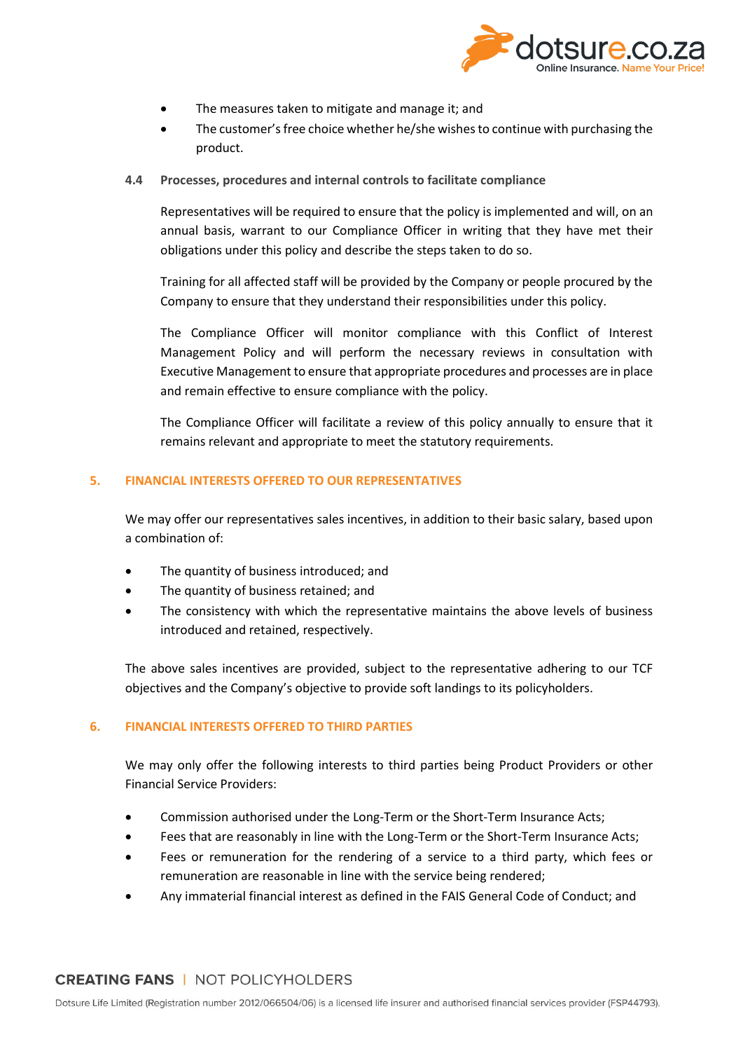

- The measures taken to mitigate and manage it; and
- The customer's free choice whether he/she wishes to continue with purchasing the product.
- **4.4 Processes, procedures and internal controls to facilitate compliance**

Representatives will be required to ensure that the policy is implemented and will, on an annual basis, warrant to our Compliance Officer in writing that they have met their obligations under this policy and describe the steps taken to do so.

Training for all affected staff will be provided by the Company or people procured by the Company to ensure that they understand their responsibilities under this policy.

The Compliance Officer will monitor compliance with this Conflict of Interest Management Policy and will perform the necessary reviews in consultation with Executive Management to ensure that appropriate procedures and processes are in place and remain effective to ensure compliance with the policy.

The Compliance Officer will facilitate a review of this policy annually to ensure that it remains relevant and appropriate to meet the statutory requirements.

#### <span id="page-5-0"></span>**5. FINANCIAL INTERESTS OFFERED TO OUR REPRESENTATIVES**

We may offer our representatives sales incentives, in addition to their basic salary, based upon a combination of:

- The quantity of business introduced; and
- The quantity of business retained; and
- The consistency with which the representative maintains the above levels of business introduced and retained, respectively.

The above sales incentives are provided, subject to the representative adhering to our TCF objectives and the Company's objective to provide soft landings to its policyholders.

#### <span id="page-5-1"></span>**6. FINANCIAL INTERESTS OFFERED TO THIRD PARTIES**

We may only offer the following interests to third parties being Product Providers or other Financial Service Providers:

- Commission authorised under the Long-Term or the Short-Term Insurance Acts;
- Fees that are reasonably in line with the Long-Term or the Short-Term Insurance Acts;
- Fees or remuneration for the rendering of a service to a third party, which fees or remuneration are reasonable in line with the service being rendered;
- Any immaterial financial interest as defined in the FAIS General Code of Conduct; and

### **CREATING FANS | NOT POLICYHOLDERS**

Dotsure Life Limited (Registration number 2012/066504/06) is a licensed life insurer and authorised financial services provider (FSP44793).